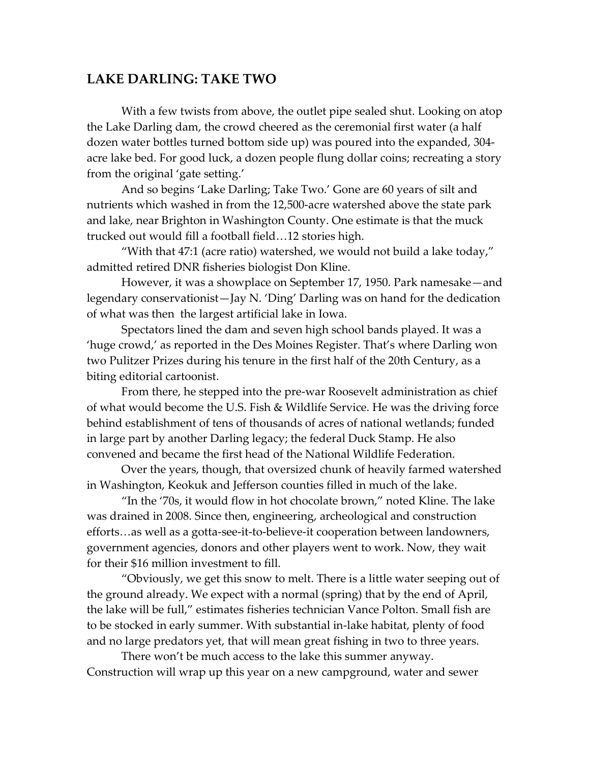## **LAKE DARLING: TAKE TWO**

With a few twists from above, the outlet pipe sealed shut. Looking on atop the Lake Darling dam, the crowd cheered as the ceremonial first water (a half dozen water bottles turned bottom side up) was poured into the expanded, 304 acre lake bed. For good luck, a dozen people flung dollar coins; recreating a story from the original 'gate setting.'

And so begins 'Lake Darling; Take Two.' Gone are 60 years of silt and nutrients which washed in from the 12,500-acre watershed above the state park and lake, near Brighton in Washington County. One estimate is that the muck trucked out would fill a football field…12 stories high.

"With that 47:1 (acre ratio) watershed, we would not build a lake today," admitted retired DNR fisheries biologist Don Kline.

However, it was a showplace on September 17, 1950. Park namesake—and legendary conservationist—Jay N. 'Ding' Darling was on hand for the dedication of what was then the largest artificial lake in Iowa.

Spectators lined the dam and seven high school bands played. It was a 'huge crowd,' as reported in the Des Moines Register. That's where Darling won two Pulitzer Prizes during his tenure in the first half of the 20th Century, as a biting editorial cartoonist.

From there, he stepped into the pre-war Roosevelt administration as chief of what would become the U.S. Fish & Wildlife Service. He was the driving force behind establishment of tens of thousands of acres of national wetlands; funded in large part by another Darling legacy; the federal Duck Stamp. He also convened and became the first head of the National Wildlife Federation.

Over the years, though, that oversized chunk of heavily farmed watershed in Washington, Keokuk and Jefferson counties filled in much of the lake.

"In the '70s, it would flow in hot chocolate brown," noted Kline. The lake was drained in 2008. Since then, engineering, archeological and construction efforts…as well as a gotta-see-it-to-believe-it cooperation between landowners, government agencies, donors and other players went to work. Now, they wait for their \$16 million investment to fill.

"Obviously, we get this snow to melt. There is a little water seeping out of the ground already. We expect with a normal (spring) that by the end of April, the lake will be full," estimates fisheries technician Vance Polton. Small fish are to be stocked in early summer. With substantial in-lake habitat, plenty of food and no large predators yet, that will mean great fishing in two to three years.

There won't be much access to the lake this summer anyway. Construction will wrap up this year on a new campground, water and sewer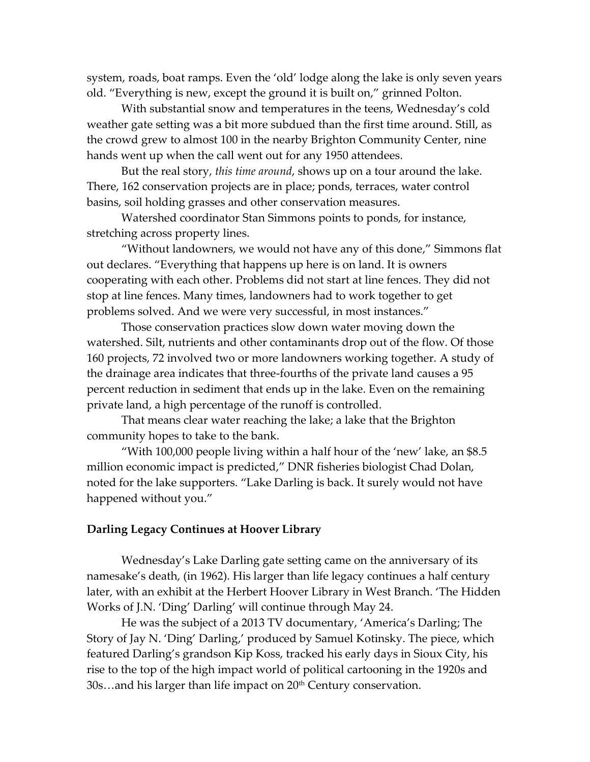system, roads, boat ramps. Even the 'old' lodge along the lake is only seven years old. "Everything is new, except the ground it is built on," grinned Polton.

With substantial snow and temperatures in the teens, Wednesday's cold weather gate setting was a bit more subdued than the first time around. Still, as the crowd grew to almost 100 in the nearby Brighton Community Center, nine hands went up when the call went out for any 1950 attendees.

But the real story, *this time around*, shows up on a tour around the lake. There, 162 conservation projects are in place; ponds, terraces, water control basins, soil holding grasses and other conservation measures.

Watershed coordinator Stan Simmons points to ponds, for instance, stretching across property lines.

"Without landowners, we would not have any of this done," Simmons flat out declares. "Everything that happens up here is on land. It is owners cooperating with each other. Problems did not start at line fences. They did not stop at line fences. Many times, landowners had to work together to get problems solved. And we were very successful, in most instances."

Those conservation practices slow down water moving down the watershed. Silt, nutrients and other contaminants drop out of the flow. Of those 160 projects, 72 involved two or more landowners working together. A study of the drainage area indicates that three-fourths of the private land causes a 95 percent reduction in sediment that ends up in the lake. Even on the remaining private land, a high percentage of the runoff is controlled.

That means clear water reaching the lake; a lake that the Brighton community hopes to take to the bank.

"With 100,000 people living within a half hour of the 'new' lake, an \$8.5 million economic impact is predicted," DNR fisheries biologist Chad Dolan, noted for the lake supporters. "Lake Darling is back. It surely would not have happened without you."

## **Darling Legacy Continues at Hoover Library**

Wednesday's Lake Darling gate setting came on the anniversary of its namesake's death, (in 1962). His larger than life legacy continues a half century later, with an exhibit at the Herbert Hoover Library in West Branch. 'The Hidden Works of J.N. 'Ding' Darling' will continue through May 24.

He was the subject of a 2013 TV documentary, 'America's Darling; The Story of Jay N. 'Ding' Darling,' produced by Samuel Kotinsky. The piece, which featured Darling's grandson Kip Koss, tracked his early days in Sioux City, his rise to the top of the high impact world of political cartooning in the 1920s and 30s...and his larger than life impact on 20<sup>th</sup> Century conservation.